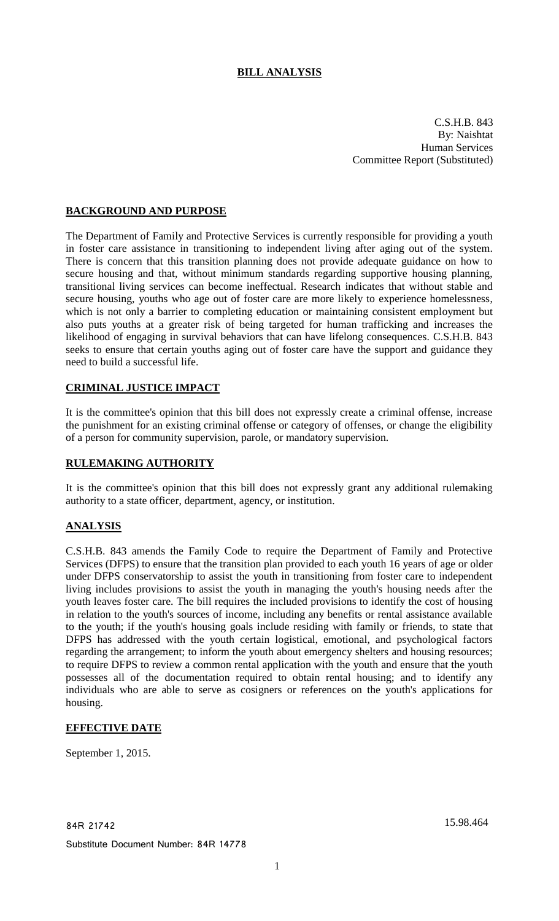# **BILL ANALYSIS**

C.S.H.B. 843 By: Naishtat Human Services Committee Report (Substituted)

## **BACKGROUND AND PURPOSE**

The Department of Family and Protective Services is currently responsible for providing a youth in foster care assistance in transitioning to independent living after aging out of the system. There is concern that this transition planning does not provide adequate guidance on how to secure housing and that, without minimum standards regarding supportive housing planning, transitional living services can become ineffectual. Research indicates that without stable and secure housing, youths who age out of foster care are more likely to experience homelessness, which is not only a barrier to completing education or maintaining consistent employment but also puts youths at a greater risk of being targeted for human trafficking and increases the likelihood of engaging in survival behaviors that can have lifelong consequences. C.S.H.B. 843 seeks to ensure that certain youths aging out of foster care have the support and guidance they need to build a successful life.

## **CRIMINAL JUSTICE IMPACT**

It is the committee's opinion that this bill does not expressly create a criminal offense, increase the punishment for an existing criminal offense or category of offenses, or change the eligibility of a person for community supervision, parole, or mandatory supervision.

### **RULEMAKING AUTHORITY**

It is the committee's opinion that this bill does not expressly grant any additional rulemaking authority to a state officer, department, agency, or institution.

## **ANALYSIS**

C.S.H.B. 843 amends the Family Code to require the Department of Family and Protective Services (DFPS) to ensure that the transition plan provided to each youth 16 years of age or older under DFPS conservatorship to assist the youth in transitioning from foster care to independent living includes provisions to assist the youth in managing the youth's housing needs after the youth leaves foster care. The bill requires the included provisions to identify the cost of housing in relation to the youth's sources of income, including any benefits or rental assistance available to the youth; if the youth's housing goals include residing with family or friends, to state that DFPS has addressed with the youth certain logistical, emotional, and psychological factors regarding the arrangement; to inform the youth about emergency shelters and housing resources; to require DFPS to review a common rental application with the youth and ensure that the youth possesses all of the documentation required to obtain rental housing; and to identify any individuals who are able to serve as cosigners or references on the youth's applications for housing.

## **EFFECTIVE DATE**

September 1, 2015.